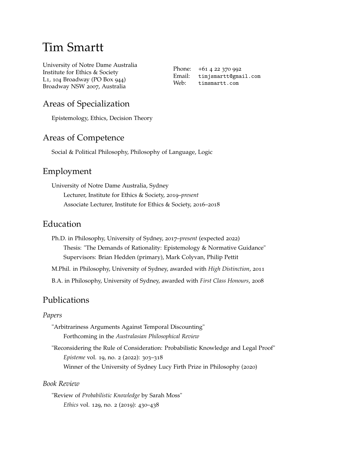# Tim Smartt

University of Notre Dame Australia Institute for Ethics & Society L1, 104 Broadway (PO Box 944) Broadway NSW 2007, Australia

Phone: +61 4 22 370 992 Email: [timjsmartt@gmail.com](mailto:timjsmartt@gmail.com) Web: [timsmartt.com](https://timsmartt.com)

## Areas of Specialization

Epistemology, Ethics, Decision Theory

## Areas of Competence

Social & Political Philosophy, Philosophy of Language, Logic

## Employment

University of Notre Dame Australia, Sydney Lecturer, Institute for Ethics & Society, 2019–*present* Associate Lecturer, Institute for Ethics & Society, 2016–2018

## Education

- Ph.D. in Philosophy, University of Sydney, 2017–*present* (expected 2022) Thesis: "The Demands of Rationality: Epistemology & Normative Guidance" Supervisors: Brian Hedden (primary), Mark Colyvan, Philip Pettit M.Phil. in Philosophy, University of Sydney, awarded with *High Distinction*, 2011
- B.A. in Philosophy, University of Sydney, awarded with *First Class Honours*, 2008

## Publications

#### *Papers*

- "Arbitrariness Arguments Against Temporal Discounting" Forthcoming in the *Australasian Philosophical Review*
- "Reconsidering the Rule of Consideration: Probabilistic Knowledge and Legal Proof" *Episteme* vol. 19, no. 2 (2022): 303–318 Winner of the University of Sydney Lucy Firth Prize in Philosophy (2020)

#### *Book Review*

"Review of *Probabilistic Knowledge* by Sarah Moss" *Ethics* vol. 129, no. 2 (2019): 430–438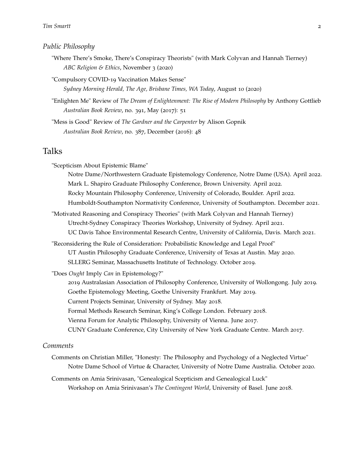#### *Public Philosophy*

"Where There's Smoke, There's Conspiracy Theorists" (with Mark Colyvan and Hannah Tierney) *ABC Religion & Ethics*, November 3 (2020)

"Compulsory COVID-19 Vaccination Makes Sense" *Sydney Morning Herald, The Age, Brisbane Times, WA Today*, August 10 (2020)

"Enlighten Me" Review of *The Dream of Enlightenment: The Rise of Modern Philosophy* by Anthony Gottlieb *Australian Book Review*, no. 391, May (2017): 51

"Mess is Good" Review of *The Gardner and the Carpenter* by Alison Gopnik *Australian Book Review*, no. 387, December (2016): 48

### Talks

"Scepticism About Epistemic Blame"

- Notre Dame/Northwestern Graduate Epistemology Conference, Notre Dame (USA). April 2022. Mark L. Shapiro Graduate Philosophy Conference, Brown University. April 2022. Rocky Mountain Philosophy Conference, University of Colorado, Boulder. April 2022. Humboldt-Southampton Normativity Conference, University of Southampton. December 2021.
- "Motivated Reasoning and Conspiracy Theories" (with Mark Colyvan and Hannah Tierney) Utrecht-Sydney Conspiracy Theories Workshop, University of Sydney. April 2021. UC Davis Tahoe Environmental Research Centre, University of California, Davis. March 2021.
- "Reconsidering the Rule of Consideration: Probabilistic Knowledge and Legal Proof" UT Austin Philosophy Graduate Conference, University of Texas at Austin. May 2020. SLLERG Seminar, Massachusetts Institute of Technology. October 2019.

"Does *Ought* Imply *Can* in Epistemology?"

- 2019 Australasian Association of Philosophy Conference, University of Wollongong. July 2019. Goethe Epistemology Meeting, Goethe University Frankfurt. May 2019.
- Current Projects Seminar, University of Sydney. May 2018.
- Formal Methods Research Seminar, King's College London. February 2018.
- Vienna Forum for Analytic Philosophy, University of Vienna. June 2017.
- CUNY Graduate Conference, City University of New York Graduate Centre. March 2017.

#### *Comments*

- Comments on Christian Miller, "Honesty: The Philosophy and Psychology of a Neglected Virtue" Notre Dame School of Virtue & Character, University of Notre Dame Australia. October 2020.
- Comments on Amia Srinivasan, "Genealogical Scepticism and Genealogical Luck" Workshop on Amia Srinivasan's *The Contingent World*, University of Basel. June 2018.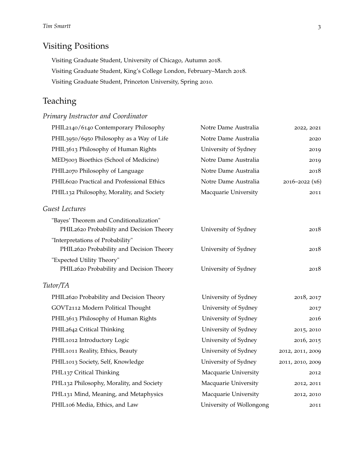## Visiting Positions

Visiting Graduate Student, University of Chicago, Autumn 2018. Visiting Graduate Student, King's College London, February–March 2018. Visiting Graduate Student, Princeton University, Spring 2010.

## Teaching

| Primary Instructor and Coordinator         |                          |                  |
|--------------------------------------------|--------------------------|------------------|
| PHIL2140/6140 Contemporary Philosophy      | Notre Dame Australia     | 2022, 2021       |
| PHIL3950/6950 Philosophy as a Way of Life  | Notre Dame Australia     | 2020             |
| PHIL3613 Philosophy of Human Rights        | University of Sydney     | 2019             |
| MED5003 Bioethics (School of Medicine)     | Notre Dame Australia     | 2019             |
| PHIL2070 Philosophy of Language            | Notre Dame Australia     | 2018             |
| PHIL6020 Practical and Professional Ethics | Notre Dame Australia     | 2016-2022 (x6)   |
| PHIL132 Philosophy, Morality, and Society  | Macquarie University     | 2011             |
| Guest Lectures                             |                          |                  |
| "Bayes' Theorem and Conditionalization"    |                          |                  |
| PHIL2620 Probability and Decision Theory   | University of Sydney     | 2018             |
| "Interpretations of Probability"           |                          |                  |
| PHIL2620 Probability and Decision Theory   | University of Sydney     | 2018             |
| "Expected Utility Theory"                  |                          |                  |
| PHIL2620 Probability and Decision Theory   | University of Sydney     | 2018             |
| Tutor/TA                                   |                          |                  |
| PHIL2620 Probability and Decision Theory   | University of Sydney     | 2018, 2017       |
| GOVT2112 Modern Political Thought          | University of Sydney     | 2017             |
| PHIL3613 Philosophy of Human Rights        | University of Sydney     | 2016             |
| PHIL2642 Critical Thinking                 | University of Sydney     | 2015, 2010       |
| PHIL1012 Introductory Logic                | University of Sydney     | 2016, 2015       |
| PHIL1011 Reality, Ethics, Beauty           | University of Sydney     | 2012, 2011, 2009 |
| PHIL1013 Society, Self, Knowledge          | University of Sydney     | 2011, 2010, 2009 |
| PHL137 Critical Thinking                   | Macquarie University     | 2012             |
| PHL132 Philosophy, Morality, and Society   | Macquarie University     | 2012, 2011       |
| PHL131 Mind, Meaning, and Metaphysics      | Macquarie University     | 2012, 2010       |
| PHIL106 Media, Ethics, and Law             | University of Wollongong | 2011             |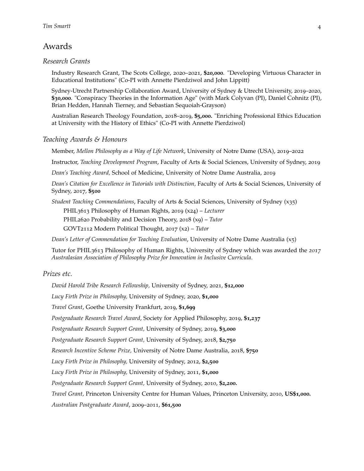## Awards

#### *Research Grants*

Industry Research Grant, The Scots College, 2020–2021, **\$20,000**. "Developing Virtuous Character in Educational Institutions" (Co-PI with Annette Pierdziwol and John Lippitt)

Sydney-Utrecht Partnership Collaboration Award, University of Sydney & Utrecht University, 2019–2020, **\$30,000**. "Conspiracy Theories in the Information Age" (with Mark Colyvan (PI), Daniel Cohnitz (PI), Brian Hedden, Hannah Tierney, and Sebastian Sequoiah-Grayson)

Australian Research Theology Foundation, 2018–2019, **\$5,000.** "Enriching Professional Ethics Education at University with the History of Ethics" (Co-PI with Annette Pierdziwol)

#### *Teaching Awards & Honours*

Member, *Mellon Philosophy as a Way of Life Network*, University of Notre Dame (USA), 2019–2022

Instructor, *Teaching Development Program*, Faculty of Arts & Social Sciences, University of Sydney, 2019

*Dean's Teaching Award,* School of Medicine, University of Notre Dame Australia, 2019

*Dean's Citation for Excellence in Tutorials with Distinction,* Faculty of Arts & Social Sciences, University of Sydney, 2017, **\$500**

*Student Teaching Commendations*, Faculty of Arts & Social Sciences, University of Sydney (x35)

PHIL3613 Philosophy of Human Rights, 2019 (x24) – *Lecturer*

PHIL2620 Probability and Decision Theory, 2018 (x9) – *Tutor*

GOVT2112 Modern Political Thought, 2017 (x2) – *Tutor*

*Dean's Letter of Commendation for Teaching Evaluation*, University of Notre Dame Australia (x5)

Tutor for PHIL3613 Philosophy of Human Rights, University of Sydney which was awarded the *2017 Australasian Association of Philosophy Prize for Innovation in Inclusive Curricula*.

#### *Prizes etc.*

*David Harold Tribe Research Fellowship,* University of Sydney, 2021, **\$12,000**

*Lucy Firth Prize in Philosophy,* University of Sydney, 2020, **\$1,000**

*Travel Grant*, Goethe University Frankfurt, 2019, **\$1,699**

*Postgraduate Research Travel Award*, Society for Applied Philosophy, 2019, **\$1,237**

*Postgraduate Research Support Grant,* University of Sydney, 2019, **\$3,000**

*Postgraduate Research Support Grant,* University of Sydney, 2018, **\$2,750**

*Research Incentive Scheme Prize,* University of Notre Dame Australia, 2018, **\$750**

*Lucy Firth Prize in Philosophy,* University of Sydney, 2012, **\$2,500**

*Lucy Firth Prize in Philosophy,* University of Sydney, 2011, **\$1,000**

*Postgraduate Research Support Grant,* University of Sydney, 2010, **\$2,200.**

*Travel Grant,* Princeton University Centre for Human Values, Princeton University, 2010, **US\$1,000.**

*Australian Postgraduate Award*, 2009–2011, **\$61,500**